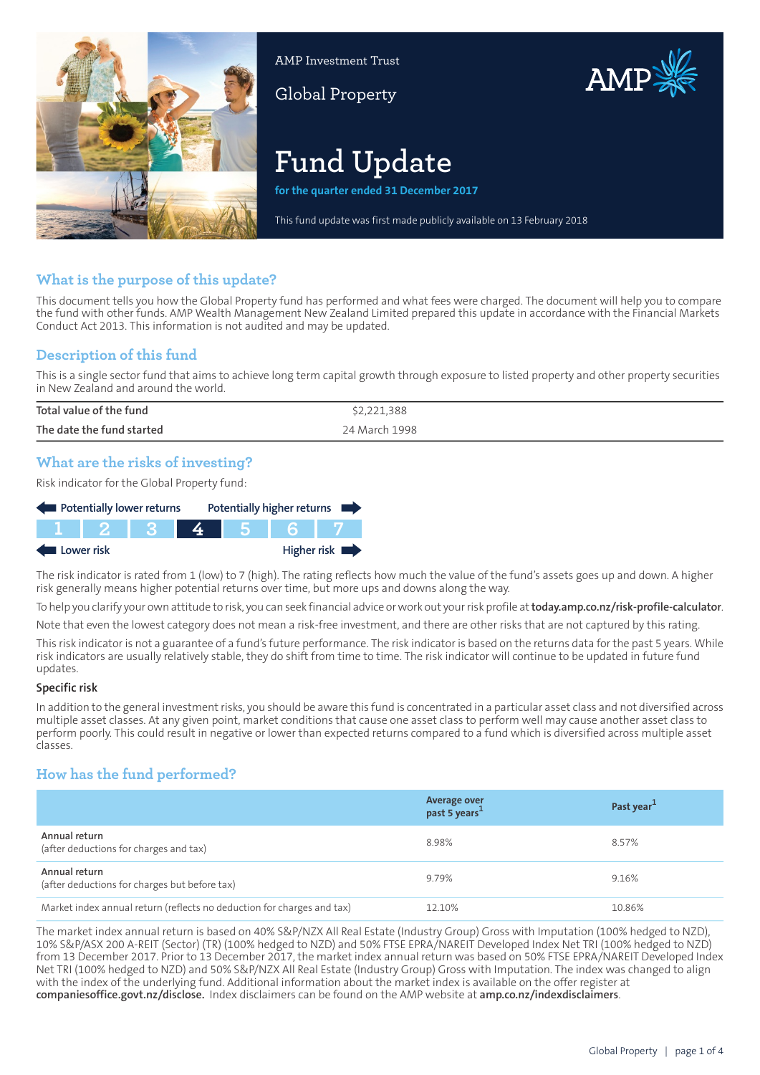

AMP Investment Trust

Global Property



# **Fund Update**

**for the quarter ended 31 December 2017**

This fund update was first made publicly available on 13 February 2018

## **What is the purpose of this update?**

This document tells you how the Global Property fund has performed and what fees were charged. The document will help you to compare the fund with other funds. AMP Wealth Management New Zealand Limited prepared this update in accordance with the Financial Markets Conduct Act 2013. This information is not audited and may be updated.

## **Description of this fund**

This is a single sector fund that aims to achieve long term capital growth through exposure to listed property and other property securities in New Zealand and around the world.

| Total value of the fund   | \$2,221,388   |
|---------------------------|---------------|
| The date the fund started | 24 March 1998 |

## **What are the risks of investing?**

Risk indicator for the Global Property fund:

| Potentially lower returns |  |  |  | Potentially higher returns |             |
|---------------------------|--|--|--|----------------------------|-------------|
|                           |  |  |  |                            |             |
| Lower risk                |  |  |  |                            | Higher risk |

The risk indicator is rated from 1 (low) to 7 (high). The rating reflects how much the value of the fund's assets goes up and down. A higher risk generally means higher potential returns over time, but more ups and downs along the way.

To help you clarify your own attitude to risk, you can seek financial advice orwork out yourrisk profile at**[today.amp.co.nz/risk-profile-calculator](http://today.amp.co.nz/risk-profile-calculator)**.

Note that even the lowest category does not mean a risk-free investment, and there are other risks that are not captured by this rating.

This risk indicator is not a guarantee of a fund's future performance. The risk indicator is based on the returns data for the past 5 years. While risk indicators are usually relatively stable, they do shift from time to time. The risk indicator will continue to be updated in future fund updates.

#### **Specific risk**

In addition to the general investmentrisks, you should be aware this fund is concentrated in a particular asset class and not diversified across multiple asset classes. At any given point, market conditions that cause one asset class to perform well may cause another asset class to perform poorly. This could result in negative or lower than expected returns compared to a fund which is diversified across multiple asset classes.

## **How has the fund performed?**

|                                                                        | Average over<br>past 5 years <sup>1</sup> | Past year <sup>1</sup> |
|------------------------------------------------------------------------|-------------------------------------------|------------------------|
| Annual return<br>(after deductions for charges and tax)                | 8.98%                                     | 8.57%                  |
| Annual return<br>(after deductions for charges but before tax)         | 9.79%                                     | 9.16%                  |
| Market index annual return (reflects no deduction for charges and tax) | 12.10%                                    | 10.86%                 |

The market index annual return is based on 40% S&P/NZX All Real Estate (Industry Group) Gross with Imputation (100% hedged to NZD), 10% S&P/ASX 200 A-REIT (Sector) (TR) (100% hedged to NZD) and 50% FTSE EPRA/NAREIT Developed Index Net TRI (100% hedged to NZD) from 13 December 2017. Prior to 13 December 2017, the market index annual return was based on 50% FTSE EPRA/NAREIT Developed Index Net TRI (100% hedged to NZD) and 50% S&P/NZX All Real Estate (Industry Group) Gross with Imputation. The index was changed to align with the index of the underlying fund. Additional information about the market index is available on the offer register at **[companiesoffice.govt.nz/disclose](http://companiesoffice.govt.nz/disclose).** Index disclaimers can be found on the AMP website at **[amp.co.nz/indexdisclaimers](http://amp.co.nz/indexdisclaimers)**.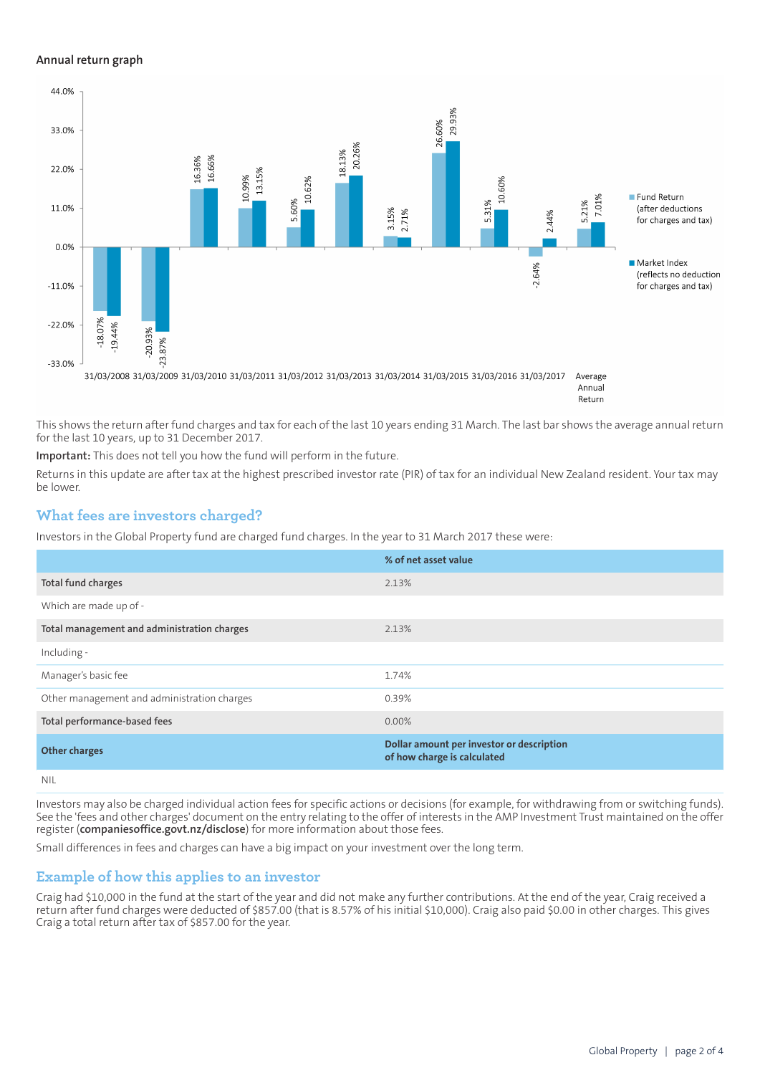#### **Annual return graph**



This shows the return after fund charges and tax for each of the last 10 years ending 31 March. The last bar shows the average annual return for the last 10 years, up to 31 December 2017.

**Important:** This does not tell you how the fund will perform in the future.

Returns in this update are after tax at the highest prescribed investor rate (PIR) of tax for an individual New Zealand resident. Your tax may be lower.

### **What fees are investors charged?**

Investors in the Global Property fund are charged fund charges. In the year to 31 March 2017 these were:

|                                             | % of net asset value                                                     |
|---------------------------------------------|--------------------------------------------------------------------------|
| Total fund charges                          | 2.13%                                                                    |
| Which are made up of -                      |                                                                          |
| Total management and administration charges | 2.13%                                                                    |
| Including -                                 |                                                                          |
| Manager's basic fee                         | 1.74%                                                                    |
| Other management and administration charges | 0.39%                                                                    |
| Total performance-based fees                | $0.00\%$                                                                 |
| <b>Other charges</b>                        | Dollar amount per investor or description<br>of how charge is calculated |
| NII                                         |                                                                          |

Investors may also be charged individual action fees for specific actions or decisions (for example, for withdrawing from or switching funds). See the 'fees and other charges' document on the entry relating to the offer of interests in the AMP Investment Trust maintained on the offer register (**[companiesoffice.govt.nz/disclose](http://companiesoffice.govt.nz/disclose)**) for more information about those fees.

Small differences in fees and charges can have a big impact on your investment over the long term.

#### **Example of how this applies to an investor**

Craig had \$10,000 in the fund at the start of the year and did not make any further contributions. At the end of the year, Craig received a return after fund charges were deducted of \$857.00 (that is 8.57% of his initial \$10,000). Craig also paid \$0.00 in other charges. This gives Craig a total return after tax of \$857.00 for the year.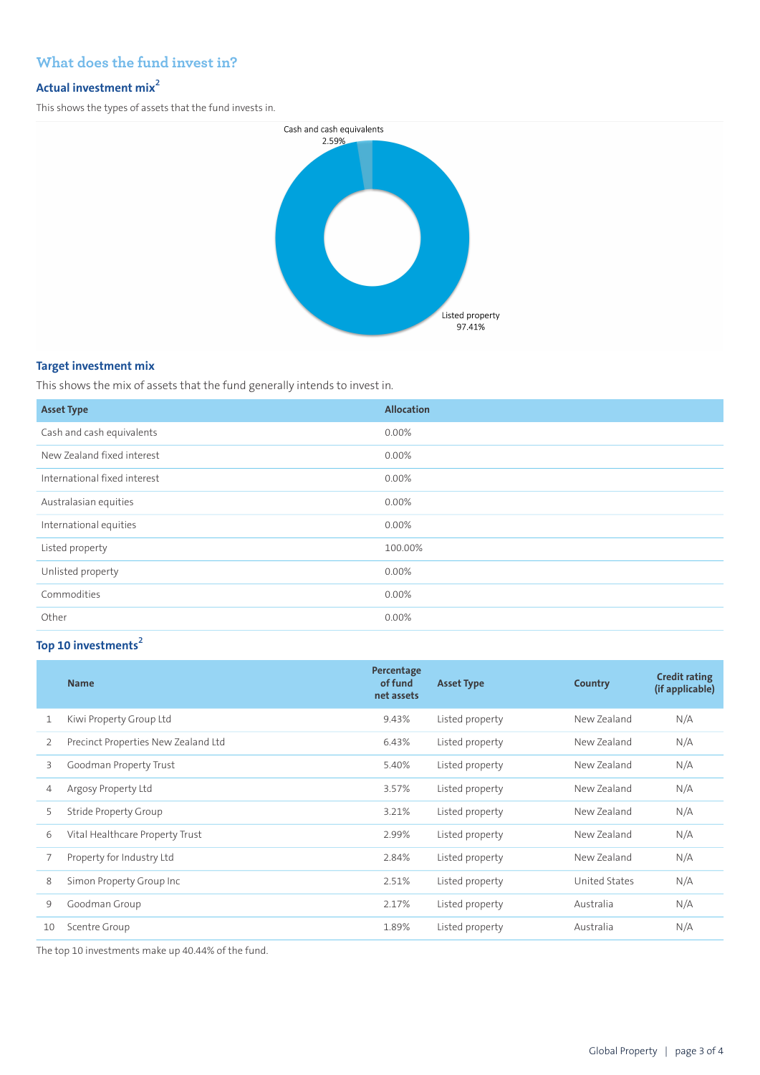## **What does the fund invest in?**

## **Actual investment mix<sup>2</sup>**

This shows the types of assets that the fund invests in.



### **Target investment mix**

This shows the mix of assets that the fund generally intends to invest in.

| <b>Asset Type</b>            | <b>Allocation</b> |
|------------------------------|-------------------|
| Cash and cash equivalents    | 0.00%             |
| New Zealand fixed interest   | $0.00\%$          |
| International fixed interest | 0.00%             |
| Australasian equities        | 0.00%             |
| International equities       | 0.00%             |
| Listed property              | 100.00%           |
| Unlisted property            | 0.00%             |
| Commodities                  | 0.00%             |
| Other                        | 0.00%             |

## **Top 10 investments<sup>2</sup>**

|    | <b>Name</b>                         | Percentage<br>of fund<br>net assets | <b>Asset Type</b> | Country       | <b>Credit rating</b><br>(if applicable) |
|----|-------------------------------------|-------------------------------------|-------------------|---------------|-----------------------------------------|
| 1  | Kiwi Property Group Ltd             | 9.43%                               | Listed property   | New Zealand   | N/A                                     |
| 2  | Precinct Properties New Zealand Ltd | 6.43%                               | Listed property   | New Zealand   | N/A                                     |
| 3  | Goodman Property Trust              | 5.40%                               | Listed property   | New Zealand   | N/A                                     |
| 4  | Argosy Property Ltd                 | 3.57%                               | Listed property   | New Zealand   | N/A                                     |
| 5  | Stride Property Group               | 3.21%                               | Listed property   | New Zealand   | N/A                                     |
| 6  | Vital Healthcare Property Trust     | 2.99%                               | Listed property   | New Zealand   | N/A                                     |
|    | Property for Industry Ltd           | 2.84%                               | Listed property   | New Zealand   | N/A                                     |
| 8  | Simon Property Group Inc            | 2.51%                               | Listed property   | United States | N/A                                     |
| 9  | Goodman Group                       | 2.17%                               | Listed property   | Australia     | N/A                                     |
| 10 | Scentre Group                       | 1.89%                               | Listed property   | Australia     | N/A                                     |

The top 10 investments make up 40.44% of the fund.